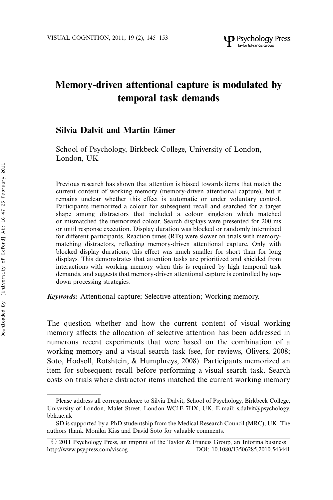# Memory-driven attentional capture is modulated by temporal task demands

# Silvia Dalvit and Martin Eimer

School of Psychology, Birkbeck College, University of London, London, UK

Previous research has shown that attention is biased towards items that match the current content of working memory (memory-driven attentional capture), but it remains unclear whether this effect is automatic or under voluntary control. Participants memorized a colour for subsequent recall and searched for a target shape among distractors that included a colour singleton which matched or mismatched the memorized colour. Search displays were presented for 200 ms or until response execution. Display duration was blocked or randomly intermixed for different participants. Reaction times (RTs) were slower on trials with memorymatching distractors, reflecting memory-driven attentional capture. Only with blocked display durations, this effect was much smaller for short than for long displays. This demonstrates that attention tasks are prioritized and shielded from interactions with working memory when this is required by high temporal task demands, and suggests that memory-driven attentional capture is controlled by topdown processing strategies.

Keywords: Attentional capture; Selective attention; Working memory.

The question whether and how the current content of visual working memory affects the allocation of selective attention has been addressed in numerous recent experiments that were based on the combination of a working memory and a visual search task (see, for reviews, Olivers, 2008; Soto, Hodsoll, Rotshtein, & Humphreys, 2008). Participants memorized an item for subsequent recall before performing a visual search task. Search costs on trials where distractor items matched the current working memory

Please address all correspondence to Silvia Dalvit, School of Psychology, Birkbeck College, University of London, Malet Street, London WC1E 7HX, UK. E-mail: s.dalvit@psychology. bbk.ac.uk

SD is supported by a PhD studentship from the Medical Research Council (MRC), UK. The authors thank Monika Kiss and David Soto for valuable comments.

 $\odot$  2011 Psychology Press, an imprint of the Taylor & Francis Group, an Informa business [http://www.psypress.com/viscog](http://www.psypress.com/cogemotion) DOI: 10.1080/13506285.2010.543441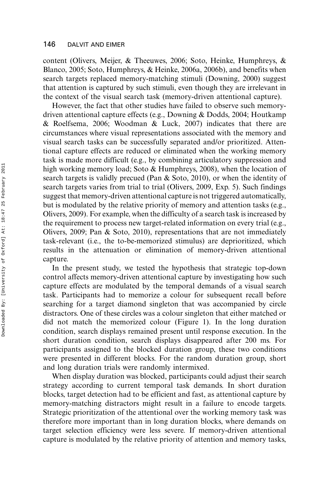content (Olivers, Meijer, & Theeuwes, 2006; Soto, Heinke, Humphreys, & Blanco, 2005; Soto, Humphreys, & Heinke, 2006a, 2006b), and benefits when search targets replaced memory-matching stimuli (Downing, 2000) suggest that attention is captured by such stimuli, even though they are irrelevant in the context of the visual search task (memory-driven attentional capture).

However, the fact that other studies have failed to observe such memorydriven attentional capture effects (e.g., Downing & Dodds, 2004; Houtkamp & Roelfsema, 2006; Woodman & Luck, 2007) indicates that there are circumstances where visual representations associated with the memory and visual search tasks can be successfully separated and/or prioritized. Attentional capture effects are reduced or eliminated when the working memory task is made more difficult (e.g., by combining articulatory suppression and high working memory load; Soto & Humphreys, 2008), when the location of search targets is validly precued (Pan & Soto, 2010), or when the identity of search targets varies from trial to trial (Olivers, 2009, Exp. 5). Such findings suggest that memory-driven attentional capture is not triggered automatically, but is modulated by the relative priority of memory and attention tasks (e.g., Olivers, 2009). For example, when the difficulty of a search task is increased by the requirement to process new target-related information on every trial (e.g., Olivers, 2009; Pan & Soto, 2010), representations that are not immediately task-relevant (i.e., the to-be-memorized stimulus) are deprioritized, which results in the attenuation or elimination of memory-driven attentional capture.

In the present study, we tested the hypothesis that strategic top-down control affects memory-driven attentional capture by investigating how such capture effects are modulated by the temporal demands of a visual search task. Participants had to memorize a colour for subsequent recall before searching for a target diamond singleton that was accompanied by circle distractors. One of these circles was a colour singleton that either matched or did not match the memorized colour (Figure 1). In the long duration condition, search displays remained present until response execution. In the short duration condition, search displays disappeared after 200 ms. For participants assigned to the blocked duration group, these two conditions were presented in different blocks. For the random duration group, short and long duration trials were randomly intermixed.

When display duration was blocked, participants could adjust their search strategy according to current temporal task demands. In short duration blocks, target detection had to be efficient and fast, as attentional capture by memory-matching distractors might result in a failure to encode targets. Strategic prioritization of the attentional over the working memory task was therefore more important than in long duration blocks, where demands on target selection efficiency were less severe. If memory-driven attentional capture is modulated by the relative priority of attention and memory tasks,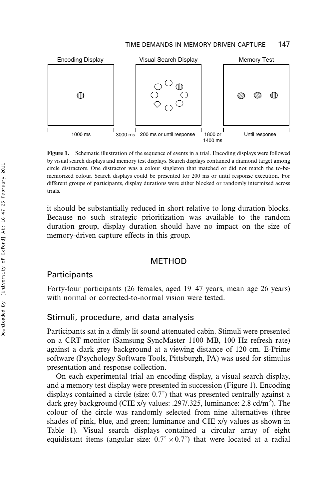#### TIME DEMANDS IN MEMORY-DRIVEN CAPTURE 147



Figure 1. Schematic illustration of the sequence of events in a trial. Encoding displays were followed by visual search displays and memory test displays. Search displays contained a diamond target among circle distractors. One distractor was a colour singleton that matched or did not match the to-bememorized colour. Search displays could be presented for 200 ms or until response execution. For different groups of participants, display durations were either blocked or randomly intermixed across trials.

it should be substantially reduced in short relative to long duration blocks. Because no such strategic prioritization was available to the random duration group, display duration should have no impact on the size of memory-driven capture effects in this group.

# METHOD

## **Participants**

Forty-four participants (26 females, aged 19-47 years, mean age 26 years) with normal or corrected-to-normal vision were tested.

## Stimuli, procedure, and data analysis

Participants sat in a dimly lit sound attenuated cabin. Stimuli were presented on a CRT monitor (Samsung SyncMaster 1100 MB, 100 Hz refresh rate) against a dark grey background at a viewing distance of 120 cm. E-Prime software (Psychology Software Tools, Pittsburgh, PA) was used for stimulus presentation and response collection.

On each experimental trial an encoding display, a visual search display, and a memory test display were presented in succession (Figure 1). Encoding displays contained a circle (size:  $0.7^{\circ}$ ) that was presented centrally against a dark grey background (CIE x/y values: .297/.325, luminance: 2.8 cd/m<sup>2</sup>). The colour of the circle was randomly selected from nine alternatives (three shades of pink, blue, and green; luminance and CIE x/y values as shown in Table 1). Visual search displays contained a circular array of eight equidistant items (angular size:  $0.7^{\circ} \times 0.7^{\circ}$ ) that were located at a radial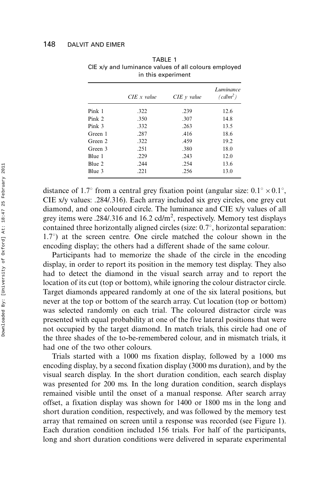|         | $CIE \times value$ | $CIE$ v value | Luminance<br>$(cdim^2)$ |
|---------|--------------------|---------------|-------------------------|
| Pink 1  | .322               | .239          | 12.6                    |
| Pink 2  | .350               | .307          | 14.8                    |
| Pink 3  | .332               | .263          | 13.5                    |
| Green 1 | .287               | .416          | 18.6                    |
| Green 2 | .322               | .459          | 19.2                    |
| Green 3 | .251               | .380          | 18.0                    |
| Blue 1  | .229               | .243          | 12.0                    |
| Blue 2  | .244               | .254          | 13.6                    |
| Blue 3  | .221               | .256          | 13.0                    |
|         |                    |               |                         |

TABLE 1 CIE x/y and luminance values of all colours employed in this experiment

distance of 1.7° from a central grey fixation point (angular size:  $0.1^{\circ} \times 0.1^{\circ}$ , CIE x/y values: .284/.316). Each array included six grey circles, one grey cut diamond, and one coloured circle. The luminance and CIE x/y values of all grey items were .284/.316 and 16.2 cd/m<sup>2</sup>, respectively. Memory test displays contained three horizontally aligned circles (size:  $0.7^{\circ}$ , horizontal separation:  $1.7^{\circ}$ ) at the screen centre. One circle matched the colour shown in the encoding display; the others had a different shade of the same colour.

Participants had to memorize the shade of the circle in the encoding display, in order to report its position in the memory test display. They also had to detect the diamond in the visual search array and to report the location of its cut (top or bottom), while ignoring the colour distractor circle. Target diamonds appeared randomly at one of the six lateral positions, but never at the top or bottom of the search array. Cut location (top or bottom) was selected randomly on each trial. The coloured distractor circle was presented with equal probability at one of the five lateral positions that were not occupied by the target diamond. In match trials, this circle had one of the three shades of the to-be-remembered colour, and in mismatch trials, it had one of the two other colours.

Trials started with a 1000 ms fixation display, followed by a 1000 ms encoding display, by a second fixation display (3000 ms duration), and by the visual search display. In the short duration condition, each search display was presented for 200 ms. In the long duration condition, search displays remained visible until the onset of a manual response. After search array offset, a fixation display was shown for 1400 or 1800 ms in the long and short duration condition, respectively, and was followed by the memory test array that remained on screen until a response was recorded (see Figure 1). Each duration condition included 156 trials. For half of the participants, long and short duration conditions were delivered in separate experimental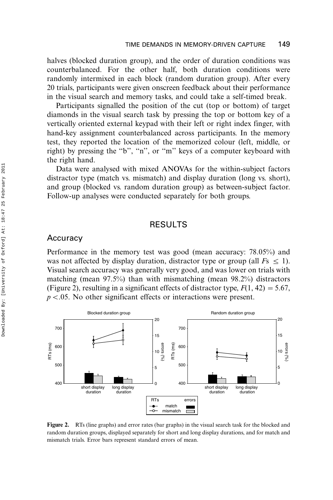halves (blocked duration group), and the order of duration conditions was counterbalanced. For the other half, both duration conditions were randomly intermixed in each block (random duration group). After every 20 trials, participants were given onscreen feedback about their performance in the visual search and memory tasks, and could take a self-timed break.

Participants signalled the position of the cut (top or bottom) of target diamonds in the visual search task by pressing the top or bottom key of a vertically oriented external keypad with their left or right index finger, with hand-key assignment counterbalanced across participants. In the memory test, they reported the location of the memorized colour (left, middle, or right) by pressing the "b", "n", or "m" keys of a computer keyboard with the right hand.

Data were analysed with mixed ANOVAs for the within-subject factors distractor type (match vs. mismatch) and display duration (long vs. short), and group (blocked vs. random duration group) as between-subject factor. Follow-up analyses were conducted separately for both groups.

# RESULTS

## Accuracy

Performance in the memory test was good (mean accuracy: 78.05%) and was not affected by display duration, distractor type or group (all  $Fs \leq 1$ ). Visual search accuracy was generally very good, and was lower on trials with matching (mean 97.5%) than with mismatching (mean 98.2%) distractors (Figure 2), resulting in a significant effects of distractor type,  $F(1, 42) = 5.67$ ,  $p < 0.05$ . No other significant effects or interactions were present.



Figure 2. RTs (line graphs) and error rates (bar graphs) in the visual search task for the blocked and random duration groups, displayed separately for short and long display durations, and for match and mismatch trials. Error bars represent standard errors of mean.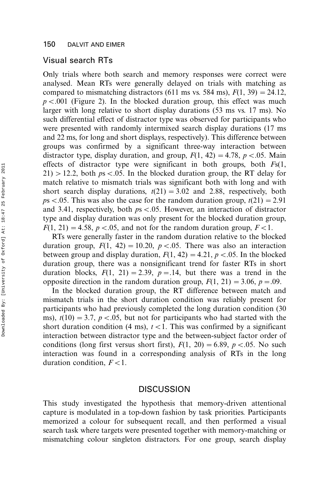## Visual search RTs

Only trials where both search and memory responses were correct were analysed. Mean RTs were generally delayed on trials with matching as compared to mismatching distractors (611 ms vs. 584 ms),  $F(1, 39) = 24.12$ ,  $p < .001$  (Figure 2). In the blocked duration group, this effect was much larger with long relative to short display durations (53 ms vs. 17 ms). No such differential effect of distractor type was observed for participants who were presented with randomly intermixed search display durations (17 ms and 22 ms, for long and short displays, respectively). This difference between groups was confirmed by a significant three-way interaction between distractor type, display duration, and group,  $F(1, 42) = 4.78$ ,  $p < 0.05$ . Main effects of distractor type were significant in both groups, both  $Fs(1,$  $21$ )  $> 12.2$ , both ps <.05. In the blocked duration group, the RT delay for match relative to mismatch trials was significant both with long and with short search display durations,  $t(21) = 3.02$  and 2.88, respectively, both ps <.05. This was also the case for the random duration group,  $t(21) = 2.91$ and 3.41, respectively, both  $ps < 0.05$ . However, an interaction of distractor type and display duration was only present for the blocked duration group,  $F(1, 21) = 4.58$ ,  $p < 0.05$ , and not for the random duration group,  $F < 1$ .

RTs were generally faster in the random duration relative to the blocked duration group,  $F(1, 42) = 10.20$ ,  $p < 0.05$ . There was also an interaction between group and display duration,  $F(1, 42) = 4.21$ ,  $p < .05$ . In the blocked duration group, there was a nonsignificant trend for faster RTs in short duration blocks,  $F(1, 21) = 2.39$ ,  $p = 14$ , but there was a trend in the opposite direction in the random duration group,  $F(1, 21) = 3.06$ ,  $p = .09$ .

In the blocked duration group, the RT difference between match and mismatch trials in the short duration condition was reliably present for participants who had previously completed the long duration condition (30 ms),  $t(10) = 3.7$ ,  $p < 0.05$ , but not for participants who had started with the short duration condition (4 ms),  $t < 1$ . This was confirmed by a significant interaction between distractor type and the between-subject factor order of conditions (long first versus short first),  $F(1, 20) = 6.89$ ,  $p < .05$ . No such interaction was found in a corresponding analysis of RTs in the long duration condition,  $F < 1$ .

# **DISCUSSION**

This study investigated the hypothesis that memory-driven attentional capture is modulated in a top-down fashion by task priorities. Participants memorized a colour for subsequent recall, and then performed a visual search task where targets were presented together with memory-matching or mismatching colour singleton distractors. For one group, search display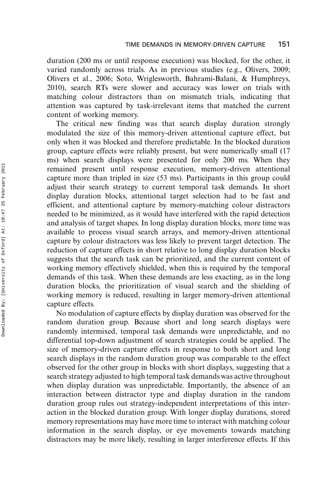duration (200 ms or until response execution) was blocked, for the other, it varied randomly across trials. As in previous studies (e.g., Olivers, 2009; Olivers et al., 2006; Soto, Wriglesworth, Bahrami-Balani, & Humphreys, 2010), search RTs were slower and accuracy was lower on trials with matching colour distractors than on mismatch trials, indicating that attention was captured by task-irrelevant items that matched the current content of working memory.

The critical new finding was that search display duration strongly modulated the size of this memory-driven attentional capture effect, but only when it was blocked and therefore predictable. In the blocked duration group, capture effects were reliably present, but were numerically small (17 ms) when search displays were presented for only 200 ms. When they remained present until response execution, memory-driven attentional capture more than tripled in size (53 ms). Participants in this group could adjust their search strategy to current temporal task demands. In short display duration blocks, attentional target selection had to be fast and efficient, and attentional capture by memory-matching colour distractors needed to be minimized, as it would have interfered with the rapid detection and analysis of target shapes. In long display duration blocks, more time was available to process visual search arrays, and memory-driven attentional capture by colour distractors was less likely to prevent target detection. The reduction of capture effects in short relative to long display duration blocks suggests that the search task can be prioritized, and the current content of working memory effectively shielded, when this is required by the temporal demands of this task. When these demands are less exacting, as in the long duration blocks, the prioritization of visual search and the shielding of working memory is reduced, resulting in larger memory-driven attentional capture effects.

No modulation of capture effects by display duration was observed for the random duration group. Because short and long search displays were randomly intermixed, temporal task demands were unpredictable, and no differential top-down adjustment of search strategies could be applied. The size of memory-driven capture effects in response to both short and long search displays in the random duration group was comparable to the effect observed for the other group in blocks with short displays, suggesting that a search strategy adjusted to high temporal task demands was active throughout when display duration was unpredictable. Importantly, the absence of an interaction between distractor type and display duration in the random duration group rules out strategy-independent interpretations of this interaction in the blocked duration group. With longer display durations, stored memory representations may have more time to interact with matching colour information in the search display, or eye movements towards matching distractors may be more likely, resulting in larger interference effects. If this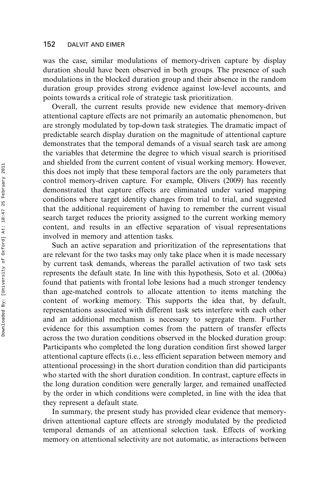#### 152 DALVIT AND EIMER

was the case, similar modulations of memory-driven capture by display duration should have been observed in both groups. The presence of such modulations in the blocked duration group and their absence in the random duration group provides strong evidence against low-level accounts, and points towards a critical role of strategic task prioritization.

Overall, the current results provide new evidence that memory-driven attentional capture effects are not primarily an automatic phenomenon, but are strongly modulated by top-down task strategies. The dramatic impact of predictable search display duration on the magnitude of attentional capture demonstrates that the temporal demands of a visual search task are among the variables that determine the degree to which visual search is prioritised and shielded from the current content of visual working memory. However, this does not imply that these temporal factors are the only parameters that control memory-driven capture. For example, Olivers (2009) has recently demonstrated that capture effects are eliminated under varied mapping conditions where target identity changes from trial to trial, and suggested that the additional requirement of having to remember the current visual search target reduces the priority assigned to the current working memory content, and results in an effective separation of visual representations involved in memory and attention tasks.

Such an active separation and prioritization of the representations that are relevant for the two tasks may only take place when it is made necessary by current task demands, whereas the parallel activation of two task sets represents the default state. In line with this hypothesis, Soto et al. (2006a) found that patients with frontal lobe lesions had a much stronger tendency than age-matched controls to allocate attention to items matching the content of working memory. This supports the idea that, by default, representations associated with different task sets interfere with each other and an additional mechanism is necessary to segregate them. Further evidence for this assumption comes from the pattern of transfer effects across the two duration conditions observed in the blocked duration group: Participants who completed the long duration condition first showed larger attentional capture effects (i.e., less efficient separation between memory and attentional processing) in the short duration condition than did participants who started with the short duration condition. In contrast, capture effects in the long duration condition were generally larger, and remained unaffected by the order in which conditions were completed, in line with the idea that they represent a default state.

In summary, the present study has provided clear evidence that memorydriven attentional capture effects are strongly modulated by the predicted temporal demands of an attentional selection task. Effects of working memory on attentional selectivity are not automatic, as interactions between